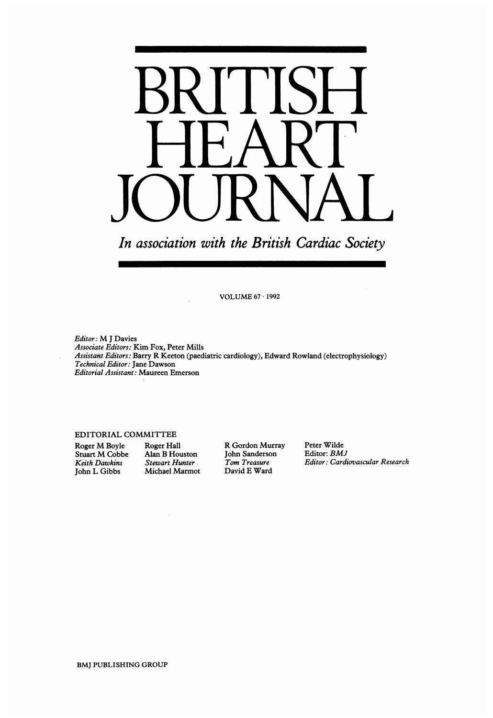

In association with the British Cardiac Society

VOLUME <sup>67</sup> <sup>1992</sup>

Editor: M <sup>J</sup> Davies Associate Editors: Kim Fox, Peter Mills Assistant Editors: Barry R Keeton (paediatric cardiology), Edward Rowland (electrophysiology) Technical Editor: Jane Dawson Editorial Assistant: Maureen Emerson

### EDITORIAL COMMITTEE

Roger M Boyle Roger Hall R Gordon Murray Peter Wilde<br>Stuart M Cobbe Alan B Houston John Sanderson Editor: BMJ Stuart M Cobbe Alan B Houston John Sanderson<br>
Keith Dawkins Stewart Hunter Tom Treasure Michael Marmot

Keith Dawkins Stewart Hunter . Tom Treasure . Editor: Cardiovascular Research John L Gibbs Michael Marmot David E Ward

BMJ PUBLISHING GROUP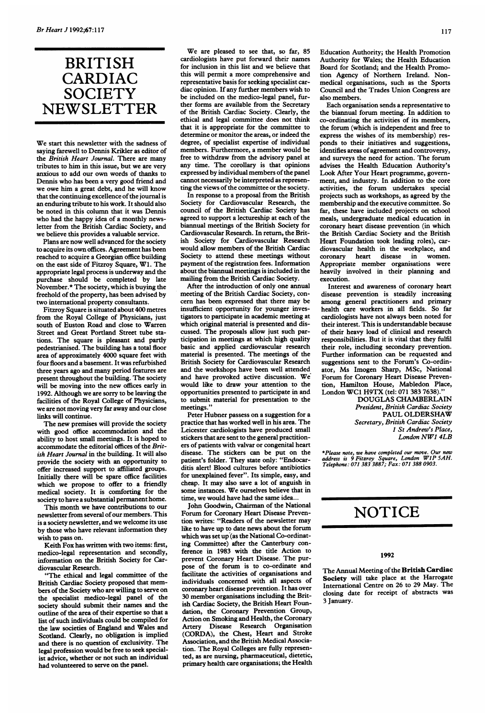## BRITISH CARDIAC **SOCIETY** NEWSLETTER

We start this newsletter with the sadness of saying farewell to Dennis Krikler as editor of the British Heart Journal. There are many tributes to him in this issue, but we are very anxious to add our own words of thanks to Dennis who has been a very good friend and we owe him <sup>a</sup> great debt, and he will know that the continuing excellence of the journal is an enduring tribute to his work. It should also be noted in this column that it was Dennis who had the happy idea of a monthly newsletter from the British Cardiac Society, and we believe this provides a valuable service.

Plans are now well advanced for the society to acquire its own offices. Agreement has been reached to acquire a Georgian office building on the east side of Fitzroy Square, Wl. The appropriate legal process is underway and the purchase should be completed by late November.\* The society, which is buying the freehold of the property, has been advised by two international property consultants.

Fitzroy Square is situated about 400 metres from the Royal College of Physicians, just south of Euston Road and close to Warren Street and Great Portland Street tube stations. The square is pleasant and partly pedestrianised. The building has a total floor area of approximately 4000 square feet with four floors and a basement. It was refurbished three years ago and many period features are present throughout the building. The society will be moving into the new offices early in 1992. Although we are sorry to be leaving the facilities of the Royal College of Physicians, we are not moving very far away and our close links will continue.

The new premises will provide the society with good office accommodation and the ability to host small meetings. It is hoped to accommodate the editorial offices of the British Heart Journal in the building. It will also provide the society with an opportunity to offer increased support to affiliated groups. Initially there will be spare office facilities which we propose to offer to a friendly medical society. It is comforting for the society to have a substantial permanent home.

This month we have contributions to our newsletter from several of our members. This is a society newsletter, and we welcome its use by those who have relevant information they wish to pass on.

Keith Fox has written with two items: first, medico-legal representation and secondly, information on the British Society for Cardiovascular Research.

"The ethical and legal committee of the British Cardiac Society proposed that members of the Society who are willing to serve on the specialist medico-legal panel of the society should submit their names and the outline of the area of their expertise so that a list of such individuals could be compiled for the law societies of England and Wales and Scotland. Clearly, no obligation is implied and there is no question of exclusivity. The legal profession would be free to seek specialist advice, whether or not such an individual had volunteered to serve on the panel.

We are pleased to see that, so far, <sup>85</sup> cardiologists have put forward their names for inclusion in this list and we believe that this will permit a more comprehensive and representative basis for seeking specialist cardiac opinion. If any further members wish to be included on the medico-legal panel, further forms are available from the Secretary of the British Cardiac Society. Clearly, the ethical and legal committee does not think that it is appropriate for the committee to determine or monitor the areas, or indeed the degree, of specialist expertise of individual members. Furthermore, a member would be free to withdraw from the advisory panel at any time. The corollary is that opinions expressed by individual members of the panel cannot necessarily be interpreted as representing the views of the committee or the society.

In response to a proposal from the British Society for Cardiovascular Research, the council of the British Cardiac Society has agreed to support a lectureship at each of the biannual meetings of the British Society for Cardiovascular Research. In return, the British Society for Cardiovascular Research would allow members of the British Cardiac Society to attend these meetings without payment of the registration fees. Information about the biannual meetings is included in the mailing from the British Cardiac Society.

After the introduction of only one annual meeting of the British Cardiac Society, concern has been expressed that there may be insufficient opportunity for younger investigators to participate in academic meeting at which original material is presented and discussed. The proposals allow just such participation in meetings at which high quality basic and applied cardiovascular research material is presented. The meetings of the British Society for Cardiovascular Research and the workshops have been well attended and have provoked active discussion. We would like to draw your attention to the opportunities presented to participate in and to submit material for presentation to the meetings."

Peter Hubner passess on a suggestion for a practice that has worked well in his area. The Leicester cardiologists have produced small stickers that are sent to the general practitioners of patients with valvar or congenital heart disease. The stickers can be put on the patient's folder. They state only: "Endocarditis alert! Blood cultures before antibiotics for unexplained fever". Its simple, easy, and cheap. It may also save a lot of anguish in some instances. We ourselves believe that in time, we would have had the same idea...

John Goodwin, Chairman of the National Forum for Coronary Heart Disease Prevention writes: "Readers of the newsletter may like to have up to date news about the forum which was set up (as the National Co-ordinating Committee) after the Canterbury conference in 1983 with the title Action to prevent Coronary Heart Disease. The purpose of the forum is to co-ordinate and facilitate the activities of organisations and individuals concerned with all aspects of coronary heart disease prevention. It has over 30 member organisations including the British Cardiac Society, the British Heart Foundation, the Coronary Prevention Group, Action on Smoking and Health, the Coronary<br>Artery Disease Research Organisation Artery Disease Research Organisation (CORDA), the Chest, Heart and Stroke Association, and the British Medical Association. The Royal Colleges are fully represented, as are nursing, pharmaceutical, dietetic, primary health care organisations; the Health

Education Authority; the Health Promotion Authority for Wales; the Health Education Board for Scotland; and the Health Promotion Agency of Northern Ireland. Nonmedical organisations, such as the Sports Council and the Trades Union Congress are also members.

Each organisation sends a representative to the biannual forum meeting. In addition to co-ordinating the activities of its members, the forum (which is independent and free to express the wishes of its membership) responds to their initiatives and suggestions, identifies areas of agreement and controversy, and surveys the need for action. The forum advises the Health Education Authority's Look After Your Heart programme, government, and industry. In addition to the core activities, the forum undertakes special projects such as workshops, as agreed by the membership and the executive committee. So far, these have included projects on school meals, undergraduate medical education in coronary heart disease prevention (in which the British Cardiac Society and the British Heart Foundation took leading roles), cardiovascular health in the workplace, and<br>coronary heart disease in women. coronary heart disease in Appropriate member organisations were heavily involved in their planning and execution.

Interest and awareness of coronary heart disease prevention is steadily increasing among general practitioners and primary health care workers in all fields. So far cardiologists have not always been noted for their interest. This is understandable because of their heavy load of clinical and research responsibilities. But it is vital that they fulfil their role, including secondary prevention. Further information can be requested and suggestions sent to the Forum's Co-ordinator, Ms Imogen Sharp, MSc, National Forum for Coronary Heart Disease Prevention, Hamilton House, Mabledon Place, London WC1 H9TX (tel: <sup>071</sup> <sup>383</sup> 7638)."

DOUGLAS CHAMBERLAIN President, British Cardiac Society PAUL OLDERSHAW Secretary, British Cardiac Society <sup>1</sup> St Andrew's Place, London NW) 4LB

\*Please note, we have completed our move. Our new address is <sup>9</sup> Fitzroy Square, London WIP SAH. Telephone: 071 383 3887; Fax: 071 388 0903.

## NOTICE

#### 1992

The Annual Meeting of the British Cardiac Society will take place at the Harrogate International Centre on 26 to <sup>29</sup> May. The closing date for receipt of abstracts was 3 January.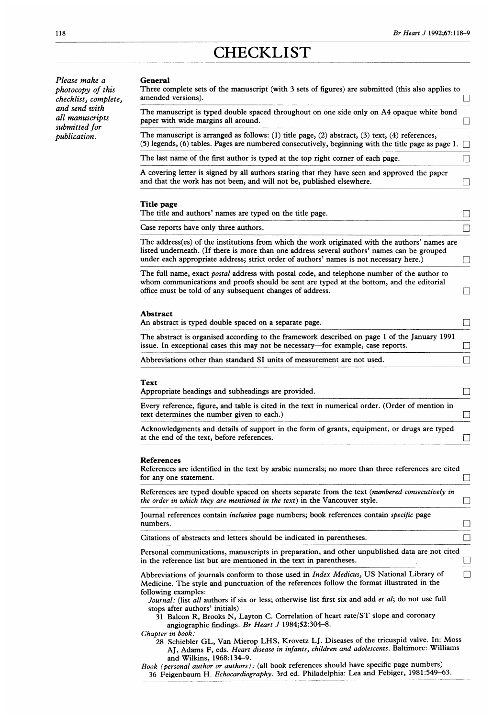# **CHECKLIST**

Please make a photocopy of this checklist, complete, and send with all manuscripts submitted for publication.

| The manuscript is typed double spaced throughout on one side only on A4 opaque white bond                                                                                                                                                                                                                                                                                                                                            |  |
|--------------------------------------------------------------------------------------------------------------------------------------------------------------------------------------------------------------------------------------------------------------------------------------------------------------------------------------------------------------------------------------------------------------------------------------|--|
| paper with wide margins all around.                                                                                                                                                                                                                                                                                                                                                                                                  |  |
| The manuscript is arranged as follows: (1) title page, (2) abstract, (3) text, (4) references,<br>(5) legends, (6) tables. Pages are numbered consecutively, beginning with the title page as page 1.                                                                                                                                                                                                                                |  |
| The last name of the first author is typed at the top right corner of each page.                                                                                                                                                                                                                                                                                                                                                     |  |
| A covering letter is signed by all authors stating that they have seen and approved the paper<br>and that the work has not been, and will not be, published elsewhere.                                                                                                                                                                                                                                                               |  |
| Title page<br>The title and authors' names are typed on the title page.                                                                                                                                                                                                                                                                                                                                                              |  |
| Case reports have only three authors.                                                                                                                                                                                                                                                                                                                                                                                                |  |
| The address(es) of the institutions from which the work originated with the authors' names are<br>listed underneath. (If there is more than one address several authors' names can be grouped<br>under each appropriate address; strict order of authors' names is not necessary here.)                                                                                                                                              |  |
| The full name, exact <i>postal</i> address with postal code, and telephone number of the author to<br>whom communications and proofs should be sent are typed at the bottom, and the editorial<br>office must be told of any subsequent changes of address.                                                                                                                                                                          |  |
| An abstract is typed double spaced on a separate page.<br>The abstract is organised according to the framework described on page 1 of the January 1991                                                                                                                                                                                                                                                                               |  |
| issue. In exceptional cases this may not be necessary—for example, case reports.                                                                                                                                                                                                                                                                                                                                                     |  |
|                                                                                                                                                                                                                                                                                                                                                                                                                                      |  |
|                                                                                                                                                                                                                                                                                                                                                                                                                                      |  |
|                                                                                                                                                                                                                                                                                                                                                                                                                                      |  |
| Abbreviations other than standard SI units of measurement are not used.<br>Text<br>Appropriate headings and subheadings are provided.<br>Every reference, figure, and table is cited in the text in numerical order. (Order of mention in<br>text determines the number given to each.)<br>Acknowledgments and details of support in the form of grants, equipment, or drugs are typed<br>at the end of the text, before references. |  |
| <b>References</b><br>References are identified in the text by arabic numerals; no more than three references are cited<br>for any one statement.                                                                                                                                                                                                                                                                                     |  |
| References are typed double spaced on sheets separate from the text (numbered consecutively in<br>the order in which they are mentioned in the text) in the Vancouver style.                                                                                                                                                                                                                                                         |  |
| Journal references contain <i>inclusive</i> page numbers; book references contain <i>specific</i> page<br>numbers.                                                                                                                                                                                                                                                                                                                   |  |
| Citations of abstracts and letters should be indicated in parentheses.                                                                                                                                                                                                                                                                                                                                                               |  |

following examples: Journal: (list all authors if six or less; otherwise list first six and add et al; do not use full stops after authors' initials)

<sup>31</sup> Balcon R, Brooks N, Layton C. Correlation of heart rate/ST slope and coronary angiographic findings. Br Heart J 1984;52:304-8.

Chapter in book:

<sup>28</sup> Schiebler GL, Van Mierop LHS, Krovetz LJ. Diseases of the tricuspid valve. In: Moss AJ, Adams F, eds. Heart disease in infants, children and adolescents. Baltimore: Williams and Wilkins, 1968:134-9.

Book (personal author or authors): (all book references should have specific page numbers) 36 Feigenbaum H. Echocardiography. 3rd ed. Philadelphia: Lea and Febiger, 1981:549-63.